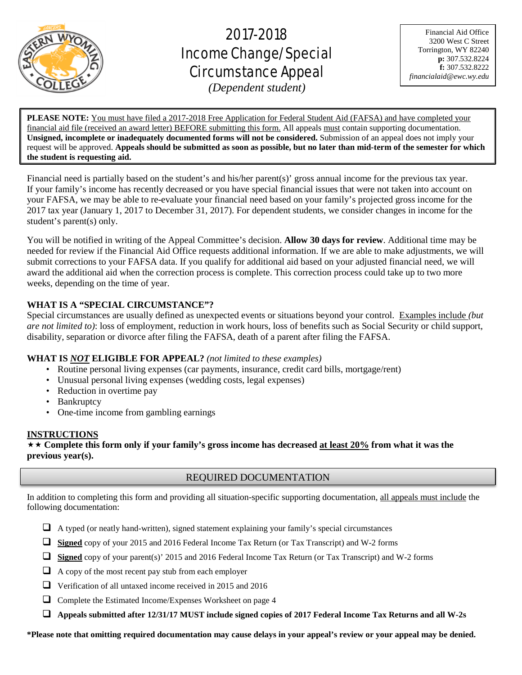

# 2017-2018 Income Change/Special Circumstance Appeal

Financial Aid Office 3200 West C Street Torrington, WY 82240 **p:** 307.532.8224 **f:** 307.532.8222 *financialaid@ewc.wy.edu*

*(Dependent student)*

ׇ֧֬

**PLEASE NOTE:** You must have filed a 2017-2018 Free Application for Federal Student Aid (FAFSA) and have completed your financial aid file (received an award letter) BEFORE submitting this form. All appeals must contain supporting documentation. **Unsigned, incomplete or inadequately documented forms will not be considered.** Submission of an appeal does not imply your request will be approved. **Appeals should be submitted as soon as possible, but no later than mid-term of the semester for which the student is requesting aid.**

Financial need is partially based on the student's and his/her parent(s)' gross annual income for the previous tax year. If your family's income has recently decreased or you have special financial issues that were not taken into account on your FAFSA, we may be able to re-evaluate your financial need based on your family's projected gross income for the 2017 tax year (January 1, 2017 to December 31, 2017). For dependent students, we consider changes in income for the student's parent(s) only.

You will be notified in writing of the Appeal Committee's decision. **Allow 30 days for review**. Additional time may be needed for review if the Financial Aid Office requests additional information. If we are able to make adjustments, we will submit corrections to your FAFSA data. If you qualify for additional aid based on your adjusted financial need, we will award the additional aid when the correction process is complete. This correction process could take up to two more weeks, depending on the time of year.

# **WHAT IS A "SPECIAL CIRCUMSTANCE"?**

Special circumstances are usually defined as unexpected events or situations beyond your control. Examples include *(but are not limited to)*: loss of employment, reduction in work hours, loss of benefits such as Social Security or child support, disability, separation or divorce after filing the FAFSA, death of a parent after filing the FAFSA.

# **WHAT IS** *NOT* **ELIGIBLE FOR APPEAL?** *(not limited to these examples)*

- Routine personal living expenses (car payments, insurance, credit card bills, mortgage/rent)
- Unusual personal living expenses (wedding costs, legal expenses)
- Reduction in overtime pay
- Bankruptcy
- One-time income from gambling earnings

# **INSTRUCTIONS**

 **Complete this form only if your family's gross income has decreased at least 20% from what it was the previous year(s).**

# REQUIRED DOCUMENTATION

In addition to completing this form and providing all situation-specific supporting documentation, all appeals must include the following documentation:

- $\Box$  A typed (or neatly hand-written), signed statement explaining your family's special circumstances
- **Signed** copy of your 2015 and 2016 Federal Income Tax Return (or Tax Transcript) and W-2 forms
- **Signed** copy of your parent(s)' 2015 and 2016 Federal Income Tax Return (or Tax Transcript) and W-2 forms
- $\Box$  A copy of the most recent pay stub from each employer
- Verification of all untaxed income received in 2015 and 2016
- Complete the Estimated Income/Expenses Worksheet on page 4
- **Appeals submitted after 12/31/17 MUST include signed copies of 2017 Federal Income Tax Returns and all W-2s**

**\*Please note that omitting required documentation may cause delays in your appeal's review or your appeal may be denied.**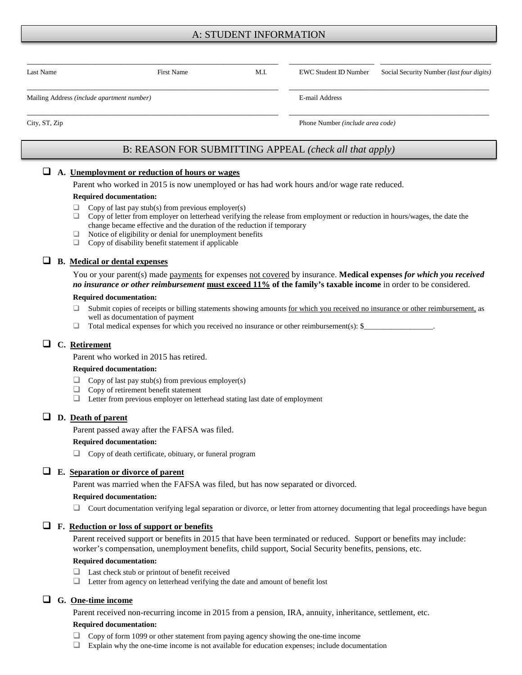# A: STUDENT INFORMATION

| Last Name                                  | <b>First Name</b> | M.I. |                | EWC Student ID Number Social Security Number (last four digits) |  |
|--------------------------------------------|-------------------|------|----------------|-----------------------------------------------------------------|--|
| Mailing Address (include apartment number) |                   |      | E-mail Address |                                                                 |  |

City, ST, Zip Phone Number *(include area code)*

# B: REASON FOR SUBMITTING APPEAL *(check all that apply)*

# **A. Unemployment or reduction of hours or wages**

Parent who worked in 2015 is now unemployed or has had work hours and/or wage rate reduced.

#### **Required documentation:**

- $\Box$  Copy of last pay stub(s) from previous employer(s)
- $\Box$  Copy of letter from employer on letterhead verifying the release from employment or reduction in hours/wages, the date the change became effective and the duration of the reduction if temporary
- $\Box$  Notice of eligibility or denial for unemployment benefits  $\Box$  Copy of disability benefit statement if applicable
- Copy of disability benefit statement if applicable

# **B. Medical or dental expenses**

You or your parent(s) made payments for expenses not covered by insurance. **Medical expenses** *for which you received no insurance or other reimbursement* **must exceed 11% of the family's taxable income** in order to be considered.

#### **Required documentation:**

- □ Submit copies of receipts or billing statements showing amounts for which you received no insurance or other reimbursement, as well as documentation of payment
- $\Box$  Total medical expenses for which you received no insurance or other reimbursement(s): \$

## **C. Retirement**

Parent who worked in 2015 has retired.

#### **Required documentation:**

- $\Box$  Copy of last pay stub(s) from previous employer(s)<br> $\Box$  Copy of retirement benefit statement
- Copy of retirement benefit statement
- $\Box$  Letter from previous employer on letterhead stating last date of employment

## **D. Death of parent**

Parent passed away after the FAFSA was filed.

#### **Required documentation:**

Copy of death certificate, obituary, or funeral program

## **E. Separation or divorce of parent**

Parent was married when the FAFSA was filed, but has now separated or divorced.

#### **Required documentation:**

 $\Box$  Court documentation verifying legal separation or divorce, or letter from attorney documenting that legal proceedings have begun

#### **F. Reduction or loss of support or benefits**

Parent received support or benefits in 2015 that have been terminated or reduced. Support or benefits may include: worker's compensation, unemployment benefits, child support, Social Security benefits, pensions, etc.

#### **Required documentation:**

- □ Last check stub or printout of benefit received
- Letter from agency on letterhead verifying the date and amount of benefit lost

## **G. One-time income**

Parent received non-recurring income in 2015 from a pension, IRA, annuity, inheritance, settlement, etc.

#### **Required documentation:**

- Copy of form 1099 or other statement from paying agency showing the one-time income
- Explain why the one-time income is not available for education expenses; include documentation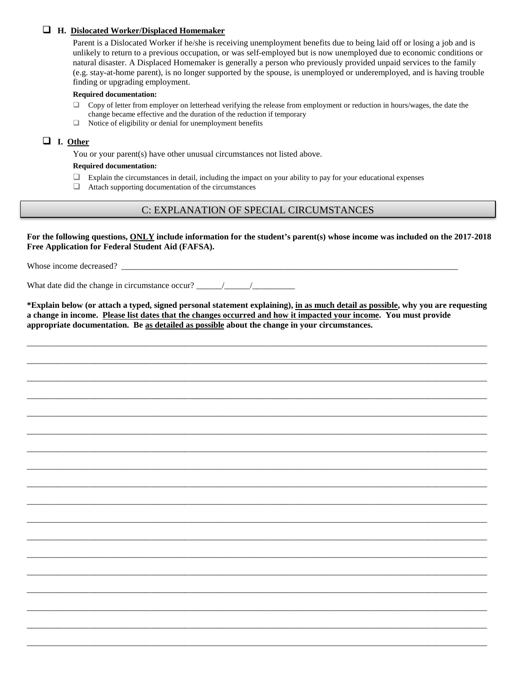## **H. Dislocated Worker/Displaced Homemaker**

Parent is a Dislocated Worker if he/she is receiving unemployment benefits due to being laid off or losing a job and is unlikely to return to a previous occupation, or was self-employed but is now unemployed due to economic conditions or natural disaster. A Displaced Homemaker is generally a person who previously provided unpaid services to the family (e.g. stay-at-home parent), is no longer supported by the spouse, is unemployed or underemployed, and is having trouble finding or upgrading employment.

#### **Required documentation:**

- $\Box$  Copy of letter from employer on letterhead verifying the release from employment or reduction in hours/wages, the date the change became effective and the duration of the reduction if temporary
- $\Box$  Notice of eligibility or denial for unemployment benefits

## **I. Other**

You or your parent(s) have other unusual circumstances not listed above.

#### **Required documentation:**

- $\Box$  Explain the circumstances in detail, including the impact on your ability to pay for your educational expenses
- $\Box$  Attach supporting documentation of the circumstances

# C: EXPLANATION OF SPECIAL CIRCUMSTANCES

**For the following questions, ONLY include information for the student's parent(s) whose income was included on the 2017-2018 Free Application for Federal Student Aid (FAFSA).**

Whose income decreased?

What date did the change in circumstance occur?  $\frac{\frac{1}{2} \left| \frac{1}{2} \right|}{\frac{1}{2} \left| \frac{1}{2} \right|}$ 

**\*Explain below (or attach a typed, signed personal statement explaining), in as much detail as possible, why you are requesting a change in income. Please list dates that the changes occurred and how it impacted your income. You must provide appropriate documentation. Be as detailed as possible about the change in your circumstances.** 

\_\_\_\_\_\_\_\_\_\_\_\_\_\_\_\_\_\_\_\_\_\_\_\_\_\_\_\_\_\_\_\_\_\_\_\_\_\_\_\_\_\_\_\_\_\_\_\_\_\_\_\_\_\_\_\_\_\_\_\_\_\_\_\_\_\_\_\_\_\_\_\_\_\_\_\_\_\_\_\_\_\_\_\_\_\_\_\_\_\_\_\_\_\_\_\_\_\_\_\_\_\_\_\_\_\_\_\_

\_\_\_\_\_\_\_\_\_\_\_\_\_\_\_\_\_\_\_\_\_\_\_\_\_\_\_\_\_\_\_\_\_\_\_\_\_\_\_\_\_\_\_\_\_\_\_\_\_\_\_\_\_\_\_\_\_\_\_\_\_\_\_\_\_\_\_\_\_\_\_\_\_\_\_\_\_\_\_\_\_\_\_\_\_\_\_\_\_\_\_\_\_\_\_\_\_\_\_\_\_\_\_\_\_\_\_\_

\_\_\_\_\_\_\_\_\_\_\_\_\_\_\_\_\_\_\_\_\_\_\_\_\_\_\_\_\_\_\_\_\_\_\_\_\_\_\_\_\_\_\_\_\_\_\_\_\_\_\_\_\_\_\_\_\_\_\_\_\_\_\_\_\_\_\_\_\_\_\_\_\_\_\_\_\_\_\_\_\_\_\_\_\_\_\_\_\_\_\_\_\_\_\_\_\_\_\_\_\_\_\_\_\_\_\_\_

\_\_\_\_\_\_\_\_\_\_\_\_\_\_\_\_\_\_\_\_\_\_\_\_\_\_\_\_\_\_\_\_\_\_\_\_\_\_\_\_\_\_\_\_\_\_\_\_\_\_\_\_\_\_\_\_\_\_\_\_\_\_\_\_\_\_\_\_\_\_\_\_\_\_\_\_\_\_\_\_\_\_\_\_\_\_\_\_\_\_\_\_\_\_\_\_\_\_\_\_\_\_\_\_\_\_\_\_

\_\_\_\_\_\_\_\_\_\_\_\_\_\_\_\_\_\_\_\_\_\_\_\_\_\_\_\_\_\_\_\_\_\_\_\_\_\_\_\_\_\_\_\_\_\_\_\_\_\_\_\_\_\_\_\_\_\_\_\_\_\_\_\_\_\_\_\_\_\_\_\_\_\_\_\_\_\_\_\_\_\_\_\_\_\_\_\_\_\_\_\_\_\_\_\_\_\_\_\_\_\_\_\_\_\_\_\_

\_\_\_\_\_\_\_\_\_\_\_\_\_\_\_\_\_\_\_\_\_\_\_\_\_\_\_\_\_\_\_\_\_\_\_\_\_\_\_\_\_\_\_\_\_\_\_\_\_\_\_\_\_\_\_\_\_\_\_\_\_\_\_\_\_\_\_\_\_\_\_\_\_\_\_\_\_\_\_\_\_\_\_\_\_\_\_\_\_\_\_\_\_\_\_\_\_\_\_\_\_\_\_\_\_\_\_\_

\_\_\_\_\_\_\_\_\_\_\_\_\_\_\_\_\_\_\_\_\_\_\_\_\_\_\_\_\_\_\_\_\_\_\_\_\_\_\_\_\_\_\_\_\_\_\_\_\_\_\_\_\_\_\_\_\_\_\_\_\_\_\_\_\_\_\_\_\_\_\_\_\_\_\_\_\_\_\_\_\_\_\_\_\_\_\_\_\_\_\_\_\_\_\_\_\_\_\_\_\_\_\_\_\_\_\_\_

\_\_\_\_\_\_\_\_\_\_\_\_\_\_\_\_\_\_\_\_\_\_\_\_\_\_\_\_\_\_\_\_\_\_\_\_\_\_\_\_\_\_\_\_\_\_\_\_\_\_\_\_\_\_\_\_\_\_\_\_\_\_\_\_\_\_\_\_\_\_\_\_\_\_\_\_\_\_\_\_\_\_\_\_\_\_\_\_\_\_\_\_\_\_\_\_\_\_\_\_\_\_\_\_\_\_\_\_

\_\_\_\_\_\_\_\_\_\_\_\_\_\_\_\_\_\_\_\_\_\_\_\_\_\_\_\_\_\_\_\_\_\_\_\_\_\_\_\_\_\_\_\_\_\_\_\_\_\_\_\_\_\_\_\_\_\_\_\_\_\_\_\_\_\_\_\_\_\_\_\_\_\_\_\_\_\_\_\_\_\_\_\_\_\_\_\_\_\_\_\_\_\_\_\_\_\_\_\_\_\_\_\_\_\_\_\_

\_\_\_\_\_\_\_\_\_\_\_\_\_\_\_\_\_\_\_\_\_\_\_\_\_\_\_\_\_\_\_\_\_\_\_\_\_\_\_\_\_\_\_\_\_\_\_\_\_\_\_\_\_\_\_\_\_\_\_\_\_\_\_\_\_\_\_\_\_\_\_\_\_\_\_\_\_\_\_\_\_\_\_\_\_\_\_\_\_\_\_\_\_\_\_\_\_\_\_\_\_\_\_\_\_\_\_\_

\_\_\_\_\_\_\_\_\_\_\_\_\_\_\_\_\_\_\_\_\_\_\_\_\_\_\_\_\_\_\_\_\_\_\_\_\_\_\_\_\_\_\_\_\_\_\_\_\_\_\_\_\_\_\_\_\_\_\_\_\_\_\_\_\_\_\_\_\_\_\_\_\_\_\_\_\_\_\_\_\_\_\_\_\_\_\_\_\_\_\_\_\_\_\_\_\_\_\_\_\_\_\_\_\_\_\_\_

\_\_\_\_\_\_\_\_\_\_\_\_\_\_\_\_\_\_\_\_\_\_\_\_\_\_\_\_\_\_\_\_\_\_\_\_\_\_\_\_\_\_\_\_\_\_\_\_\_\_\_\_\_\_\_\_\_\_\_\_\_\_\_\_\_\_\_\_\_\_\_\_\_\_\_\_\_\_\_\_\_\_\_\_\_\_\_\_\_\_\_\_\_\_\_\_\_\_\_\_\_\_\_\_\_\_\_\_

\_\_\_\_\_\_\_\_\_\_\_\_\_\_\_\_\_\_\_\_\_\_\_\_\_\_\_\_\_\_\_\_\_\_\_\_\_\_\_\_\_\_\_\_\_\_\_\_\_\_\_\_\_\_\_\_\_\_\_\_\_\_\_\_\_\_\_\_\_\_\_\_\_\_\_\_\_\_\_\_\_\_\_\_\_\_\_\_\_\_\_\_\_\_\_\_\_\_\_\_\_\_\_\_\_\_\_\_

\_\_\_\_\_\_\_\_\_\_\_\_\_\_\_\_\_\_\_\_\_\_\_\_\_\_\_\_\_\_\_\_\_\_\_\_\_\_\_\_\_\_\_\_\_\_\_\_\_\_\_\_\_\_\_\_\_\_\_\_\_\_\_\_\_\_\_\_\_\_\_\_\_\_\_\_\_\_\_\_\_\_\_\_\_\_\_\_\_\_\_\_\_\_\_\_\_\_\_\_\_\_\_\_\_\_\_\_

\_\_\_\_\_\_\_\_\_\_\_\_\_\_\_\_\_\_\_\_\_\_\_\_\_\_\_\_\_\_\_\_\_\_\_\_\_\_\_\_\_\_\_\_\_\_\_\_\_\_\_\_\_\_\_\_\_\_\_\_\_\_\_\_\_\_\_\_\_\_\_\_\_\_\_\_\_\_\_\_\_\_\_\_\_\_\_\_\_\_\_\_\_\_\_\_\_\_\_\_\_\_\_\_\_\_\_\_

\_\_\_\_\_\_\_\_\_\_\_\_\_\_\_\_\_\_\_\_\_\_\_\_\_\_\_\_\_\_\_\_\_\_\_\_\_\_\_\_\_\_\_\_\_\_\_\_\_\_\_\_\_\_\_\_\_\_\_\_\_\_\_\_\_\_\_\_\_\_\_\_\_\_\_\_\_\_\_\_\_\_\_\_\_\_\_\_\_\_\_\_\_\_\_\_\_\_\_\_\_\_\_\_\_\_\_\_

\_\_\_\_\_\_\_\_\_\_\_\_\_\_\_\_\_\_\_\_\_\_\_\_\_\_\_\_\_\_\_\_\_\_\_\_\_\_\_\_\_\_\_\_\_\_\_\_\_\_\_\_\_\_\_\_\_\_\_\_\_\_\_\_\_\_\_\_\_\_\_\_\_\_\_\_\_\_\_\_\_\_\_\_\_\_\_\_\_\_\_\_\_\_\_\_\_\_\_\_\_\_\_\_\_\_\_\_

\_\_\_\_\_\_\_\_\_\_\_\_\_\_\_\_\_\_\_\_\_\_\_\_\_\_\_\_\_\_\_\_\_\_\_\_\_\_\_\_\_\_\_\_\_\_\_\_\_\_\_\_\_\_\_\_\_\_\_\_\_\_\_\_\_\_\_\_\_\_\_\_\_\_\_\_\_\_\_\_\_\_\_\_\_\_\_\_\_\_\_\_\_\_\_\_\_\_\_\_\_\_\_\_\_\_\_\_